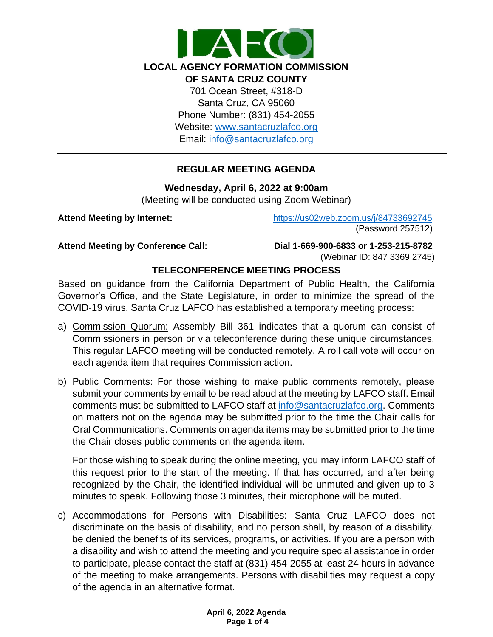

## **REGULAR MEETING AGENDA**

**Wednesday, April 6, 2022 at 9:00am**

(Meeting will be conducted using Zoom Webinar)

**Attend Meeting by Internet:** <https://us02web.zoom.us/j/84733692745> (Password 257512)

**Attend Meeting by Conference Call: Dial 1-669-900-6833 or 1-253-215-8782**  (Webinar ID: 847 3369 2745)

# **TELECONFERENCE MEETING PROCESS**

Based on guidance from the California Department of Public Health, the California Governor's Office, and the State Legislature, in order to minimize the spread of the COVID-19 virus, Santa Cruz LAFCO has established a temporary meeting process:

- a) Commission Quorum: Assembly Bill 361 indicates that a quorum can consist of Commissioners in person or via teleconference during these unique circumstances. This regular LAFCO meeting will be conducted remotely. A roll call vote will occur on each agenda item that requires Commission action.
- b) Public Comments: For those wishing to make public comments remotely, please submit your comments by email to be read aloud at the meeting by LAFCO staff. Email comments must be submitted to LAFCO staff at [info@santacruzlafco.org.](mailto:info@santacruzlafco.org) Comments on matters not on the agenda may be submitted prior to the time the Chair calls for Oral Communications. Comments on agenda items may be submitted prior to the time the Chair closes public comments on the agenda item.

For those wishing to speak during the online meeting, you may inform LAFCO staff of this request prior to the start of the meeting. If that has occurred, and after being recognized by the Chair, the identified individual will be unmuted and given up to 3 minutes to speak. Following those 3 minutes, their microphone will be muted.

c) Accommodations for Persons with Disabilities: Santa Cruz LAFCO does not discriminate on the basis of disability, and no person shall, by reason of a disability, be denied the benefits of its services, programs, or activities. If you are a person with a disability and wish to attend the meeting and you require special assistance in order to participate, please contact the staff at (831) 454-2055 at least 24 hours in advance of the meeting to make arrangements. Persons with disabilities may request a copy of the agenda in an alternative format.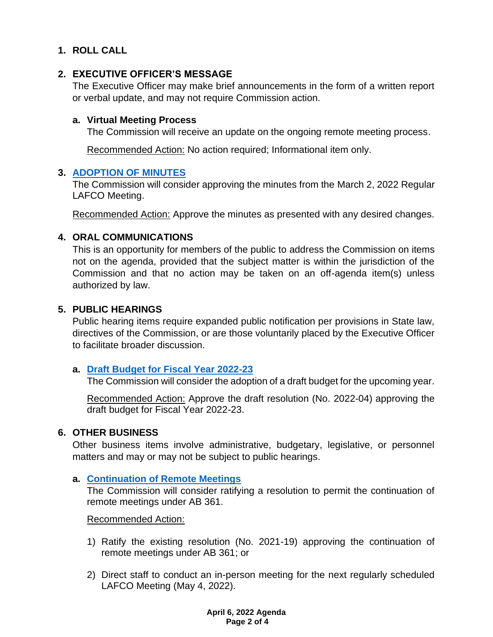# **1. ROLL CALL**

## **2. EXECUTIVE OFFICER'S MESSAGE**

The Executive Officer may make brief announcements in the form of a written report or verbal update, and may not require Commission action.

#### **a. Virtual Meeting Process**

The Commission will receive an update on the ongoing remote meeting process.

Recommended Action: No action required; Informational item only.

#### **3. [ADOPTION OF MINUTES](https://www.santacruzlafco.org/wp-content/uploads/2022/03/3.0-Draft-Minutes-Mar-2-Meeting.pdf)**

The Commission will consider approving the minutes from the March 2, 2022 Regular LAFCO Meeting.

Recommended Action: Approve the minutes as presented with any desired changes.

#### **4. ORAL COMMUNICATIONS**

This is an opportunity for members of the public to address the Commission on items not on the agenda, provided that the subject matter is within the jurisdiction of the Commission and that no action may be taken on an off-agenda item(s) unless authorized by law.

#### **5. PUBLIC HEARINGS**

Public hearing items require expanded public notification per provisions in State law, directives of the Commission, or are those voluntarily placed by the Executive Officer to facilitate broader discussion.

#### **a. [Draft Budget for Fiscal Year 2022-23](https://www.santacruzlafco.org/wp-content/uploads/2022/03/5a.0-Draft-Budget-Staff-Report_Hyperlinked.pdf)**

The Commission will consider the adoption of a draft budget for the upcoming year.

Recommended Action: Approve the draft resolution (No. 2022-04) approving the draft budget for Fiscal Year 2022-23.

## **6. OTHER BUSINESS**

Other business items involve administrative, budgetary, legislative, or personnel matters and may or may not be subject to public hearings.

#### **a. [Continuation of Remote Meetings](https://www.santacruzlafco.org/wp-content/uploads/2022/03/6a.0-AB-361-Update-Staff-Report_Hyperlinked.pdf)**

The Commission will consider ratifying a resolution to permit the continuation of remote meetings under AB 361.

Recommended Action:

- 1) Ratify the existing resolution (No. 2021-19) approving the continuation of remote meetings under AB 361; or
- 2) Direct staff to conduct an in-person meeting for the next regularly scheduled LAFCO Meeting (May 4, 2022).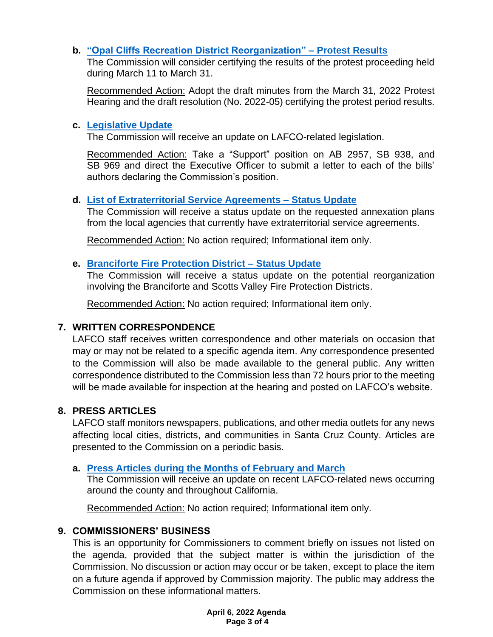# **b. ["Opal Cliffs Recreation District Reorganization"](https://www.santacruzlafco.org/wp-content/uploads/2022/03/6b.0-Protest-Results-Staff-Report_Hyperlinked.pdf) – Protest Results**

The Commission will consider certifying the results of the protest proceeding held during March 11 to March 31.

Recommended Action: Adopt the draft minutes from the March 31, 2022 Protest Hearing and the draft resolution (No. 2022-05) certifying the protest period results.

## **c. [Legislative Update](https://www.santacruzlafco.org/wp-content/uploads/2022/03/6c.0-Leg-Update-Staff-Report_Hyperlinked.pdf)**

The Commission will receive an update on LAFCO-related legislation.

Recommended Action: Take a "Support" position on AB 2957, SB 938, and SB 969 and direct the Executive Officer to submit a letter to each of the bills' authors declaring the Commission's position.

## **d. [List of Extraterritorial Service Agreements –](https://www.santacruzlafco.org/wp-content/uploads/2022/03/6d.0-ESA-List-Staff-Report_Hyperlinked.pdf) Status Update**

The Commission will receive a status update on the requested annexation plans from the local agencies that currently have extraterritorial service agreements.

Recommended Action: No action required; Informational item only.

## **e. [Branciforte Fire Protection District –](https://www.santacruzlafco.org/wp-content/uploads/2022/03/6e.0-BFPD-Update-Staff-Report_Hyperlinked.pdf) Status Update**

The Commission will receive a status update on the potential reorganization involving the Branciforte and Scotts Valley Fire Protection Districts.

Recommended Action: No action required; Informational item only.

# **7. WRITTEN CORRESPONDENCE**

LAFCO staff receives written correspondence and other materials on occasion that may or may not be related to a specific agenda item. Any correspondence presented to the Commission will also be made available to the general public. Any written correspondence distributed to the Commission less than 72 hours prior to the meeting will be made available for inspection at the hearing and posted on LAFCO's website.

## **8. PRESS ARTICLES**

LAFCO staff monitors newspapers, publications, and other media outlets for any news affecting local cities, districts, and communities in Santa Cruz County. Articles are presented to the Commission on a periodic basis.

## **a. [Press Articles during the Months](https://www.santacruzlafco.org/wp-content/uploads/2022/03/8a.0-Press-Articles-Staff-Report_Hyperlinked.pdf) of February and March**

The Commission will receive an update on recent LAFCO-related news occurring around the county and throughout California.

Recommended Action: No action required; Informational item only.

## **9. COMMISSIONERS' BUSINESS**

This is an opportunity for Commissioners to comment briefly on issues not listed on the agenda, provided that the subject matter is within the jurisdiction of the Commission. No discussion or action may occur or be taken, except to place the item on a future agenda if approved by Commission majority. The public may address the Commission on these informational matters.